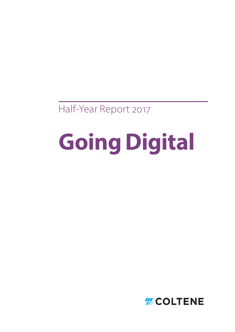Half-Year Report 2017

# **Going Digital**

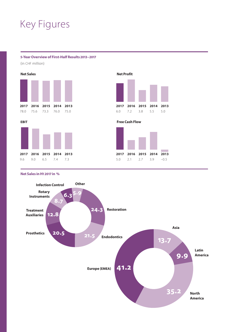### Key Figures

#### **5-Year Overview of First-Half Results 2013–2017**

(in CHF million)





#### **Net Profit**







#### **Net Sales in H1 2017 in %**

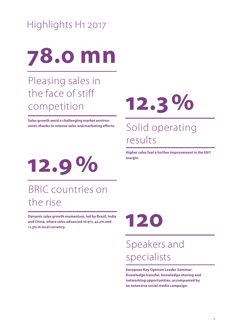# Highlights H1 2017

# **78.0 mn**

### Pleasing sales in the face of stiff competition

**Sales growth amid a challenging market environment, thanks to intense sales and marketing efforts.**

# **12.3%**

### Solid operating results

**Higher sales fuel a further improvement in the EBIT margin.**



### BRIC countries on the rise

**Dynamic sales growth momentum, led by Brazil, India and China, where sales advanced 16.9%, 42.3% and 11.3% in local currency.**



# Speakers and specialists

**European Key Opinion Leader Seminar: Knowledge transfer, knowledge sharing and networking opportunities, accompanied by an extensive social media campaign.**

**1**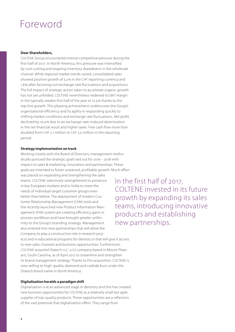### Foreword

#### **Dear Shareholders,**

COLTENE Group encountered intense competitive pressure during the first half of 2017. In North America, this pressure was intensified by cost-cutting and ongoing inventory drawdowns in the wholesale channel. While regional market trends varied, consolidated sales showed positive growth of 3.2% in the CHF reporting currency and 1.8% after factoring out exchange-rate fluctuations and acquisitions. The full impact of strategic action taken to accelerate organic growth has not yet unfolded. COLTENE nevertheless widened its EBIT margin in the typically weaker first half of the year to 12.3% thanks to the top-line growth. This pleasing achievement underscores the Group's organizational efficiency and its agility in responding quickly to shifting market conditions and exchange rate fluctuations. Net profit declined by 16.0% due to an exchange-rate-induced deterioration in the net financial result and higher taxes. Free cash flow more than doubled from CHF 2.1 million to CHF 5.0 million in the reporting period.

#### **Strategy implementation on track**

Working closely with the Board of Directors, management methodically pursued the strategic goals laid out for 2016 – 2018 with respect to sales & marketing, innovation and partnerships. These goals are intended to foster sustained, profitable growth. Much effort was placed on expanding and strengthening the sales teams. COLTENE selectively strengthened its presence in key European markets and in India to meet the needs of individual target customer groups even better than before. The deployment of modern Customer Relationship Management (CRM) tools and the recently launched new Product Information Management (PIM) system are creating efficiency gains in process workflows and have brought greater uniformity to the Group's branding strategy. Management also entered into new partnerships that will allow the Company to play a constructive role in research projects and in educational programs for dentists or that will give it access to new sales channels and business opportunities. Furthermore, COLTENE acquired Diatech LLC, a US company based in Mount Pleasant, South Carolina, as of April 2017 to streamline and strengthen its brand management strategy. Thanks to this acquisition, COLTENE is now selling its high-quality diamond and carbide burs under the Diatech brand name in North America.

#### **Digitalization heralds a paradigm shift**

Digitalization is at an advanced stage in dentistry and this has created new business opportunities for COLTENE as a relatively small but agile supplier of top-quality products. These opportunities are a reflection of the vast potential that digitalization offers. They range from

In the first half of 2017, COLTENE invested in its future growth by expanding its sales teams, introducing innovative products and establishing new partnerships.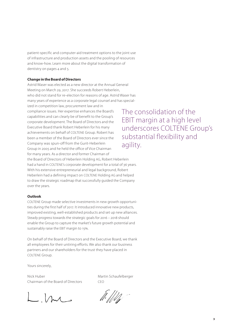patient-specific and computer-aid treatment options to the joint use of infrastructure and production assets and the pooling of resources and know-how. Learn more about the digital transformation of dentistry on pages 4 and 5.

#### **Change in the Board of Directors**

Astrid Waser was elected as a new director at the Annual General Meeting on March 29, 2017. She succeeds Robert Heberlein, who did not stand for re-election for reasons of age. Astrid Waser has many years of experience as a corporate legal counsel and has specialized in competition law, procurement law and in compliance issues. Her expertise enhances the Board's capabilities and can clearly be of benefit to the Group's corporate development. The Board of Directors and the Executive Board thank Robert Heberlein for his many achievements on behalf of COLTENE Group. Robert has been a member of the Board of Directors ever since the Company was spun-off from the Gurit-Heberlein Group in 2005 and he held the office of Vice Chairman for many years. As a director and former Chairman of the Board of Directors of Heberlein Holding AG, Robert Heberlein had a hand in COLTENE's corporate development for a total of 36 years. With his extensive entrepreneurial and legal background, Robert Heberlein had a defining impact on COLTENE Holding AG and helped to draw the strategic roadmap that successfully guided the Company over the years.

#### **Outlook**

COLTENE Group made selective investments in new growth opportunities during the first half of 2017. It introduced innovative new products, improved existing, well-established products and set up new alliances. Steady progress towards the strategic goals for 2016 – 2018 should enable the Group to capture the market's future growth potential and sustainably raise the EBIT margin to 15%.

On behalf of the Board of Directors and the Executive Board, we thank all employees for their untiring efforts. We also thank our business partners and our shareholders for the trust they have placed in COLTENE Group.

Yours sincerely,

Nick Huber Martin Schaufelberger Chairman of the Board of Directors CEO

 $L$ , but

 $\frac{1}{2}$  . The set of  $\frac{1}{2}$ 

The consolidation of the EBIT margin at a high level underscores COLTENE Group's substantial flexibility and agility.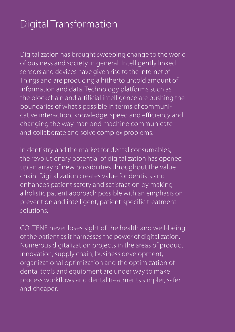## Digital Transformation

Digitalization has brought sweeping change to the world of business and society in general. Intelligently linked sensors and devices have given rise to the Internet of Things and are producing a hitherto untold amount of information and data. Technology platforms such as the blockchain and artificial intelligence are pushing the boundaries of what's possible in terms of communicative interaction, knowledge, speed and efficiency and changing the way man and machine communicate and collaborate and solve complex problems.

In dentistry and the market for dental consumables, the revolutionary potential of digitalization has opened up an array of new possibilities throughout the value chain. Digitalization creates value for dentists and enhances patient safety and satisfaction by making a holistic patient approach possible with an emphasis on prevention and intelligent, patient-specific treatment solutions.

COLTENE never loses sight of the health and well-being of the patient as it harnesses the power of digitalization. Numerous digitalization projects in the areas of product innovation, supply chain, business development, organizational optimization and the optimization of dental tools and equipment are under way to make process workflows and dental treatments simpler, safer and cheaper.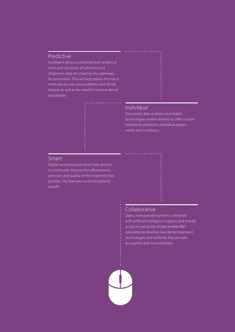#### Predictive

Intelligent sensors combined with analytical tools and vast pools of reference and diagnostic data are creating new pathways for prevention. This will help reduce the risk of tooth decay, root canal problems and dental disease as well as the need for invasive dental procedures.



#### Individual

Data pools, data analytics and digital technologies enable dentists to offer custom treatments tailored to individual patient needs and conditions.

#### Smart

Digital assistants and robots help dentists to continually improve the effectiveness, precision and quality of the treatment they provide – for their own and their patients' benefit.

#### Collaborative

Open, interoperable systems combined with artificial intelligence support and shared access to vast pools of data enable R&D specialists to develop new dental treatment technologies and methods that are safer, less painful and more aesthetic.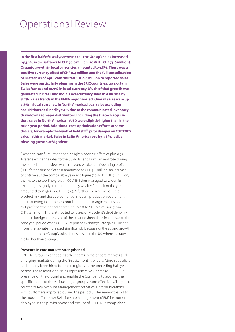### Operational Review

**In the first half of fiscal year 2017, COLTENE Group's sales increased by 3.2% in Swiss francs to CHF 78.0 million (2016 H1: CHF 75.6 million). Organic growth in local currencies amounted to 1.8%. There was a positive currency effect of CHF 0.4 million and the full consolidation of Diatech as of April contributed CHF 0.6 million to reported sales. Sales were particularly pleasing in the BRIC countries, up 17.5% in Swiss francs and 12.9% in local currency. Much of that growth was generated in Brazil and India. Local currency sales in Asia rose by 8.2%. Sales trends in the EMEA region varied. Overall sales were up 2.8% in local currency. In North America, local sales excluding acquisitions declined by 2.2% due to the communicated inventory drawdowns at major distributors. Including the Diatech acquisition, sales in North America in USD were slightly higher than in the prior-year period. Additional cost-optimization efforts at some dealers, for example the layoff of field staff, put a damper on COLTENE's sales in this market. Sales in Latin America rose by 3.6%, led by pleasing growth at Vigodent.**

Exchange-rate fluctuations had a slightly positive effect of plus 0.5%. Average exchange rates to the US dollar and Brazilian real rose during the period under review, while the euro weakened. Operating profit (EBIT) for the first half of 2017 amounted to CHF 9.6 million, an increase of 6.2% versus the comparable year-ago figure (2016 H1: CHF 9.0 million) thanks to the top-line growth. COLTENE thus managed to widen its EBIT margin slightly in the traditionally weaker first half of the year. It amounted to 12.3% (2016 H1: 11.9%). A further improvement in the product mix and the deployment of modern production equipment and marketing instruments contributed to the margin expansion. Net profit for the period decreased 16.0% to CHF 6.0 million (2016 H1: CHF 7.2 million). This is attributed to losses on Vigodent's debt denominated in foreign currency as of the balance sheet date, in contrast to the prior-year period when COLTENE reported exchange-rate gains. Furthermore, the tax rate increased significantly because of the strong growth in profit from the Group's subsidiaries based in the US, where tax rates are higher than average.

#### **Presence in core markets strengthened**

COLTENE Group expanded its sales teams in major core markets and emerging markets during the first six months of 2017. More specialists had already been hired for these regions in the preceding half-year period. These additional sales representatives increase COLTENE's presence on the ground and enable the Company to address the specific needs of the various target groups more effectively. They also bolster its Key Account Management activities. Communications with customers improved during the period under review thanks to the modern Customer Relationship Management (CRM) instruments deployed in the previous year and the use of COLTENE's comprehen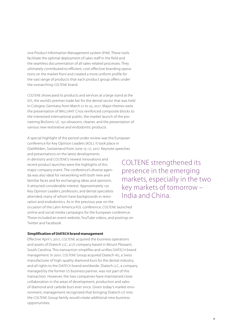sive Product Information Management system (PIM). These tools facilitate the optimal deployment of sales staff in the field and the seamless documentation of all sales-related processes. They ultimately contributed to efficient, cost-effective branding operations on the market front and created a more uniform profile for the vast range of products that each product group offers under the overarching COLTENE brand.

COLTENE showcased its products and services at a large stand at the IDS, the world's premier trade fair for the dental sector that was held in Cologne, Germany from March 21 to 25, 2017. Major themes were the presentation of BRILLIANT Crios reinforced composite blocks to the interested international public, the market launch of the pioneering BioSonic UC 150 ultrasonic cleaner, and the presentation of various new restorative and endodontic products.

A special highlight of the period under review was the European conference for Key Opinion Leaders (KOL). It took place in Glattfelden, Switzerland from June 15–17, 2017. Keynote speeches and presentations on the latest developments in dentistry and COLTENE's newest innovations and recent product launches were the highlights of this major company event. The conference's diverse agenda was also ideal for networking with both new and familiar faces and for exchanging ideas and opinions. It attracted considerable interest. Approximately 120 Key Opinion Leaders, professors, and dental specialists attended, many of whom have backgrounds in restoration and endodontics. As in the previous year on the occasion of the Latin America KOL conference, COLTENE launched online and social media campaigns for the European conference. These included an event website, YouTube videos, and postings on Twitter and Facebook.

#### **Simplification of DIATECH brand management**

Effective April 1, 2017, COLTENE acquired the business operations and assets of Diatech LLC, a US company based in Mount Pleasant, South Carolina. This transaction simplifies and unifies DIATECH brand management. In 2001, COLTENE Group acquired Diatech AG, a Swiss manufacturer of high-quality diamond burs for the dental industry, and all rights to the DIATECH brand worldwide. Diatech LLC, a company managed by the former US business partner, was not part of this transaction. However, the two companies have maintained close collaboration in the areas of development, production and sales of diamond and carbide burs ever since. Given today's market environment, management recognized that bringing Diatech US into the COLTENE Group family would create additional new business opportunities.

COLTENE strengthened its presence in the emerging markets, especially in the two key markets of tomorrow – India and China.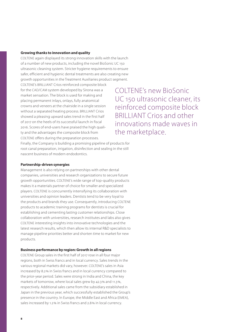#### **Growing thanks to innovation and quality**

COLTENE again displayed its strong innovation skills with the launch of a number of new products, including the novel BioSonic UC 150 ultrasonic cleaning system. Stricter hygiene requirements to ensure safer, efficient and hygienic dental treatments are also creating new growth opportunities in the Treatment Auxiliaries product segment.

COLTENE's BRILLIANT Crios reinforced composite block for the CAD/CAM system developed by Sirona was a market sensation. The block is used for making and placing permanent inlays, onlays, fully anatomical crowns and veneers at the chairside in a single session without a separated heating process. BRILLIANT Crios showed a pleasing upward sales trend in the first half of 2017 on the heels of its successful launch in fiscal 2016. Scores of end-users have praised the high quality and the advantages the composite block from COLTENE offers during the preparation processes.

COLTENE's new BioSonic UC 150 ultrasonic cleaner, its reinforced composite block BRILLIANT Crios and other innovations made waves in the marketplace.

Finally, the Company is building a promising pipeline of products for root canal preparation, irrigation, disinfection and sealing in the still nascent business of modern endodontics.

#### **Partnership-driven synergies**

Management is also relying on partnerships with other dental companies, universities and research organizations to secure future growth opportunities. COLTENE's wide range of top-quality products makes it a materials partner of choice for smaller and specialized players. COLTENE is concurrently intensifying its collaboration with universities and opinion leaders. Dentists tend to be very loyal to the products and brands they use. Consequently, introducing COLTENE products to academic training programs for dentists is crucial for establishing and cementing lasting customer relationships. Close collaboration with universities, research institutes and labs also gives COLTENE interesting insights into innovative technologies and the latest research results, which then allow its internal R&D specialists to manage pipeline priorities better and shorten time to market for new products.

#### **Business performance by region: Growth in all regions**

COLTENE Group sales in the first half of 2017 rose in all four major regions, both in Swiss francs and in local currency. Sales trends in the various regional markets did vary, however. COLTENE's sales in Asia increased by 8.2% in Swiss francs and in local currency compared to the prior-year period. Sales were strong in India and China, the key markets of tomorrow, where local sales grew by 42.3% and 11.3%, respectively. Additional sales came from the subsidiary established in Japan in the previous year, which successfully established the Group's presence in the country. In Europe, the Middle East and Africa (EMEA), sales increased by 1.2% in Swiss francs and 2.8% in local currency.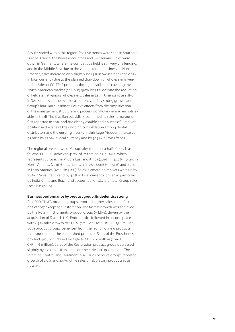Results varied within this region. Positive trends were seen in Southern Europe, France, the Benelux countries and Switzerland. Sales were down in Germany, where the competitive field is still very challenging, and in the Middle East due to the volatile tender business. In North America, sales increased only slightly by 1.5% in Swiss francs and 0.2% in local currency due to the planned drawdown of wholesaler inventories. Sales of COLTENE products through distributors covering the North American market (sell-out) grew by 1.1% despite the reduction of field staff at various wholesalers. Sales in Latin America rose 11.8% in Swiss francs and 3.6% in local currency, led by strong growth at the Group's Brazilian subsidiary. Positive effects from the simplification of the management structure and process workflows were again noticeable in Brazil. The Brazilian subsidiary confirmed its sales turnaround first reported in 2016 and has clearly established a successful market position in the face of the ongoing consolidation among dental distributors and the ensuing inventory shrinkage. Vigodent increased its sales by 27.6% in local currency and by 50.3% in Swiss francs.

The regional breakdown of Group sales for the first half of 2017 is as follows: COLTENE achieved 41.2% of its total sales in EMEA, which represents Europe, the Middle East and Africa (2016 H1: 42.0%), 35.2% in North America (2016 H1: 35.7%), 13.7% in Asia (2016 H1: 13.1%) and 9.9% in Latin America (2016 H1: 9.2%). Sales in emerging markets were up by 7.8% in Swiss francs and by 4.7% in local currency, driven in particular by India, China and Brazil, and accounted for 28.2% of total Group sales (2016 H1: 27.0%).

#### **Business performance by product group: Endodontics strong**

All of COLTENE's product groups reported higher sales in the first half of 2017 except for Restoration. The fastest growth was achieved by the Rotary Instruments product group (+8.8%), driven by the acquisition of Diatech LLC. Endodontics followed in second place with 6.3% sales growth to CHF 16.7 million (2016 H1: CHF 15.8 million). Both product groups benefited from the launch of new products that rounded out the established products. Sales of the Prosthetics product group increased by 2.5% to CHF 16.0 million (2016 H1: CHF 15.6 million). Sales of the Restoration product group decreased slightly by 1.2% to CHF 18.8 million (2016 H1: CHF 19.2 million). The Infection Control and Treatment Auxiliaries product groups reported growth of 2.0% and 4.5%, while sales of laboratory products rose by 4.0%.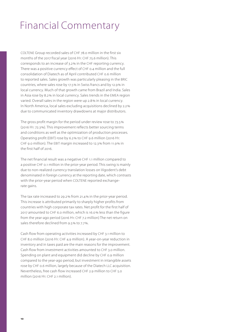### Financial Commentary

COLTENE Group recorded sales of CHF 78.0 million in the first six months of the 2017 fiscal year (2016 H1: CHF 75.6 million). This corresponds to an increase of 3.2% in the CHF reporting currency. There was a positive currency effect of CHF 0.4 million and the full consolidation of Diatech as of April contributed CHF 0.6 million to reported sales. Sales growth was particularly pleasing in the BRIC countries, where sales rose by 17.5% in Swiss francs and by 12.9% in local currency. Much of that growth came from Brazil and India. Sales in Asia rose by 8.2% in local currency. Sales trends in the EMEA region varied. Overall sales in the region were up 2.8% in local currency. In North America, local sales excluding acquisitions declined by 2.2% due to communicated inventory drawdowns at major distributors.

The gross profit margin for the period under review rose to 73.5% (2016 H1: 72.3%). This improvement reflects better sourcing terms and conditions as well as the optimization of production processes. Operating profit (EBIT) rose by 6.2% to CHF 9.6 million (2016 H1: CHF 9.0 million). The EBIT margin increased to 12.3% from 11.9% in the first half of 2016.

The net financial result was a negative CHF 1.1 million compared to a positive CHF 0.1 million in the prior-year period. This swing is mainly due to non-realized currency translation losses on Vigodent's debt denominated in foreign currency at the reporting date, which contrasts with the prior-year period when COLTENE reported exchangerate gains.

The tax rate increased to 29.2% from 21.4% in the prior-year period. This increase is attributed primarily to sharply higher profits from countries with high corporate tax rates. Net profit for the first half of 2017 amounted to CHF 6.0 million, which is 16.0% less than the figure from the year-ago period (2016 H1: CHF 7.2 million) The net return on sales therefore declined from 9.5% to 7.7%.

Cash flow from operating activities increased by CHF 3.1 million to CHF 8.0 million (2016 H1: CHF 4.9 million). A year-on-year reduction in inventory and in taxes paid are the main reasons for the improvement. Cash flow from investment activities amounted to CHF 3.0 million. Spending on plant and equipment did decline by CHF 0.9 million compared to the year-ago period, but investment in intangible assets rose by CHF 0.6 million, largely because of the Diatech LLC acquisition. Nevertheless, free cash flow increased CHF 2.9 million to CHF 5.0 million (2016 H1: CHF 2.1 million).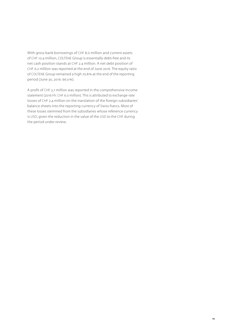With gross bank borrowings of CHF 8.0 million and current assets of CHF 10.4 million, COLTENE Group is essentially debt-free and its net cash position stands at CHF 2.4 million. A net debt position of CHF 6.2 million was reported at the end of June 2016. The equity ratio of COLTENE Group remained a high 70.8% at the end of the reporting period (June 30, 2016: 66.0%).

A profit of CHF 3.7 million was reported in the comprehensive income statement (2016 H1: CHF 6.0 million). This is attributed to exchange-rate losses of CHF 2.4 million on the translation of the foreign subsidiaries' balance sheets into the reporting currency of Swiss francs. Most of these losses stemmed from the subsidiaries whose reference currency is USD, given the reduction in the value of the USD to the CHF during the period under review.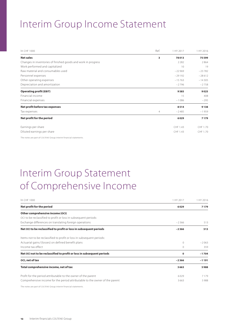### Interim Group Income Statement

| In CHF 1000                                                   | Ref.           | 1 HY 2017 | 1 HY 2016 |
|---------------------------------------------------------------|----------------|-----------|-----------|
| <b>Net sales</b>                                              | 3              | 78013     | 75599     |
| Changes in inventories of finished goods and work in progress |                | 2282      | 2864      |
| Work performed and capitalized                                |                | 10        | 19        |
| Raw material and consumables used                             |                | $-22969$  | $-23782$  |
| Personnel expenses                                            |                | $-29192$  | $-28612$  |
| Other operating expenses                                      |                | $-15763$  | $-14305$  |
| Depreciation and amortization                                 |                | $-2796$   | $-2758$   |
| <b>Operating profit (EBIT)</b>                                |                | 9585      | 9025      |
| Financial income                                              |                | 15        | 408       |
| Financial expenses                                            |                | $-1086$   | $-295$    |
| Net profit before tax expenses                                |                | 8514      | 9138      |
| Tax expenses                                                  | $\overline{4}$ | $-2485$   | $-1959$   |
| Net profit for the period                                     |                | 6029      | 7179      |
| Earnings per share                                            |                | CHF 1.43  | CHF 1.70  |
| Diluted earnings per share                                    |                | CHF 1.43  | CHF 1.70  |

The notes are part of COLTENE Group interim financial statements.

# Interim Group Statement of Comprehensive Income

| In CHF 1000                                                                 | 1 HY 2017 | 1 HY 2016 |
|-----------------------------------------------------------------------------|-----------|-----------|
| Net profit for the period                                                   | 6029      | 7179      |
| Other comprehensive income (OCI)                                            |           |           |
| OCI to be reclassified to profit or loss in subsequent periods:             |           |           |
| Exchange differences on translating foreign operations                      | $-2366$   | 513       |
| Net OCI to be reclassified to profit or loss in subsequent periods          | $-2366$   | 513       |
| Items not to be reclassified to profit or loss in subsequent periods:       |           |           |
| Actuarial gains/(losses) on defined benefit plans                           | $\Omega$  | $-2063$   |
| Income tax effect                                                           | $\Omega$  | 359       |
| Net OCI not to be reclassified to profit or loss in subsequent periods      | 0         | $-1704$   |
| OCI, net of tax                                                             | $-2366$   | $-1191$   |
| Total comprehensive income, net of tax                                      | 3663      | 5988      |
| Profit for the period attributable to the owner of the parent               | 6029      | 7179      |
| Comprehensive income for the period attributable to the owner of the parent | 3663      | 5988      |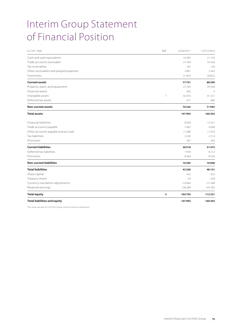# Interim Group Statement of Financial Position

| In CHF 1000                            | Ref.           | 6/30/2017 | 12/31/2016     |
|----------------------------------------|----------------|-----------|----------------|
| Cash and cash equivalents              |                | 10387     | 21570          |
| Trade accounts receivable              |                | 31 4 39   | 33 4 26        |
| Tax receivables                        |                | 181       | 136            |
| Other receivables and prepaid expenses |                | 3891      | 2445           |
| Inventories                            |                | 31853     | 30822          |
| <b>Current assets</b>                  |                | 77751     | 88399          |
| Property, plant, and equipment         |                | 27 29 3   | 29958          |
| Financial assets                       |                | 402       | $\overline{4}$ |
| Intangible assets                      | $\overline{7}$ | 42076     | 41551          |
| Deferred tax assets                    |                | 471       | 480            |
| <b>Non-current assets</b>              |                | 70242     | 71993          |
| <b>Total assets</b>                    |                | 147993    | 160392         |
| <b>Financial liabilities</b>           |                | 8030      | 12921          |
| Trade accounts payable                 |                | 5081      | 4698           |
| Other accounts payable and accruals    |                | 11080     | 11076          |
| <b>Tax liabilities</b>                 |                | 2420      | 2514           |
| Provisions                             |                | 307       | 264            |
| <b>Current liabilities</b>             |                | 26918     | 31473          |
| Deferred tax liabilities               |                | 7818      | 8212           |
| Provisions                             |                | 8464      | 8456           |
| <b>Non-current liabilities</b>         |                | 16282     | 16668          |
| <b>Total liabilities</b>               |                | 43 200    | 48 14 1        |
| Share capital                          |                | 422       | 422            |
| Treasury shares                        |                | $-54$     | $-258$         |
| Currency translation adjustments       |                | $-33864$  | $-31498$       |
| Retained earnings                      |                | 138 289   | 143 585        |
| <b>Total equity</b>                    | 5              | 104793    | 112251         |
| <b>Total liabilities and equity</b>    |                | 147993    | 160392         |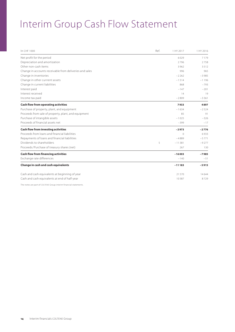### Interim Group Cash Flow Statement

| In CHF 1000                                             | Ref. | 1 HY 2017 | 1 HY 2016 |
|---------------------------------------------------------|------|-----------|-----------|
| Net profit for the period                               |      | 6029      | 7179      |
| Depreciation and amortization                           |      | 2796      | 2758      |
| Other non-cash items                                    |      | 3962      | 3512      |
| Change in accounts receivable from deliveries and sales |      | 996       | 965       |
| Change in inventories                                   |      | $-2262$   | $-3985$   |
| Change in other currrent assets                         |      | $-1514$   | $-1196$   |
| Change in current liabilities                           |      | 868       | $-793$    |
| Interest paid                                           |      | $-147$    | $-201$    |
| Interest received                                       |      | 14        | 19        |
| Income tax paid                                         |      | $-2809$   | $-3361$   |
| <b>Cash flow from operating activities</b>              |      | 7933      | 4897      |
| Purchase of property, plant, and equipment              |      | $-1634$   | $-2524$   |
| Proceeds from sale of property, plant, and equipment    |      | 85        | 91        |
| Purchase of intangible assets                           |      | $-1025$   | $-326$    |
| Proceeds of financial assets net                        |      | $-399$    | $-17$     |
| <b>Cash flow from investing activities</b>              |      | $-2973$   | $-2776$   |
| Proceeds from Joans and financial liabilities           |      | $\Omega$  | 6933      |
| Repayments of loans and financial liabilities           |      | $-4889$   | $-5771$   |
| Dividends to shareholders                               | 5    | $-11381$  | $-9277$   |
| Proceeds/Purchase of treasury shares (net)              |      | 267       | 130       |
| <b>Cash flow from financing activities</b>              |      | $-16003$  | $-7985$   |
| Exchange rate differences                               |      | $-140$    | $-51$     |
| Change in cash and cash equivalents                     |      | $-11133$  | $-5915$   |
| Cash and cash equivalents at beginning of year          |      | 21570     | 14644     |
| Cash and cash equivalents at end of half-year           |      | 10387     | 8729      |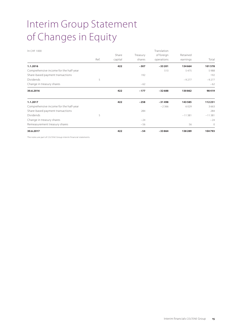# Interim Group Statement of Changes in Equity

| In CHF 1000                                                            |      |         |          | Translation |          |              |
|------------------------------------------------------------------------|------|---------|----------|-------------|----------|--------------|
|                                                                        |      | Share   | Treasury | of foreign  | Retained |              |
|                                                                        | Ref. | capital | shares   | operations  | earnings | Total        |
| 1.1.2016                                                               |      | 422     | $-307$   | $-33201$    | 134664   | 101578       |
| Comprehensive income for the half-year                                 |      |         |          | 513         | 5475     | 5988         |
| Share-based payment transactions                                       |      |         | 192      |             |          | 192          |
| Dividends                                                              | 5    |         |          |             | $-9277$  | $-9277$      |
| Change in treasury shares                                              |      |         | $-62$    |             |          | $-62$        |
| 30.6.2016                                                              |      | 422     | $-177$   | $-32688$    | 130862   | 98419        |
| 1.1.2017                                                               |      | 422     | $-258$   | $-31498$    | 143585   | 112251       |
| Comprehensive income for the half-year                                 |      |         |          | $-2366$     | 6029     | 3663         |
| Share-based payment transactions                                       |      |         | 284      |             |          | 284          |
| Dividends                                                              | 5    |         |          |             | $-11381$ | $-11381$     |
| Change in treasury shares                                              |      |         | $-24$    |             |          | $-24$        |
| Remeasurement treasury shares                                          |      |         | $-56$    |             | 56       | $\mathbf{0}$ |
| 30.6.2017                                                              |      | 422     | $-54$    | $-33864$    | 138289   | 104793       |
| The series are seen of COITENT Create topology floor and species and r |      |         |          |             |          |              |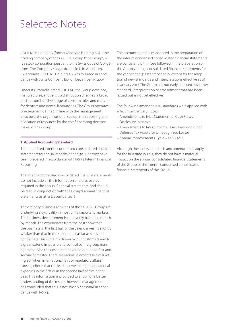### Selected Notes

COLTENE Holding AG (former Medisize Holding AG) – the holding company of the COLTENE Group ("the Group") – is a stock corporation persuant to the Swiss Code of Obligations. The Company's legal domicile is in Altstätten, Switzerland. COLTENE Holding AG was founded in accordance with Swiss Company law on December 15, 2005.

Under its umbrella brand COLTENE, the Group develops, manufactures, and sells via distribution channels a broad and comprehensive range of consumables and tools for dentists and dental laboratories. The Group operates one segment defined in line with the management structure, the organizational set-up, the reporting and allocation of resources by the chief operating decision maker of the Group.

#### **1 Applied Accounting Standard**

The unaudited interim condensed consolidated financial statements for the six months ended 30 June 2017 have been prepared in accordance with IAS 34 Interim Financial Reporting.

The interim condensed consolidated financial statements do not include all the information and disclosures required in the annual financial statements, and should be read in conjunction with the Group's annual financial statements as at 31 December 2016.

The ordinary business activities of the COLTENE Group are underlying a cyclicality in most of its important markets. The business development is not evenly balanced month by month. The experiences from the past show that the business in the first half of the calendar year is slightly weaker than that in the second half as far as sales are concerned. This is mainly driven by our customers and to a great extend impossible to control by the group management. Also the cost are not evened out in the first and second semester. There are various elements like marketing activities, international fairs or regulatory affairs, causing effects that can lead to lower or higher operational expenses in the first or in the second half of a calendar year. This information is provided to allow for a better understanding of the results, however, management has concluded that this is not 'highly seasonal' in accordance with IAS 34.

The accounting policies adopted in the preparation of the interim condensed consolidated financial statements are consistent with those followed in the preparation of the Group's annual consolidated financial statements for the year ended 31 December 2016, except for the adoption of new standards and interpretations effective as of 1 January 2017. The Group has not early adopted any other standard, interpretation or amendment that has been issued but is not yet effective.

The following amended IFRS standards were applied with effect from January 1, 2017:

- Amendments to IAS 7 Statement of Cash Flows: Disclosure Initiative
- Amendments to IAS 12 Income Taxes: Recognition of Deferred Tax Assets for Unrecognized Losses
- Annual Improvements Cycle 2014–2016

Although these new standards and amendments apply for the first time in 2017, they do not have a material impact on the annual consolidated financial statements of the Group or the interim condensed consolidated financial statements of the Group.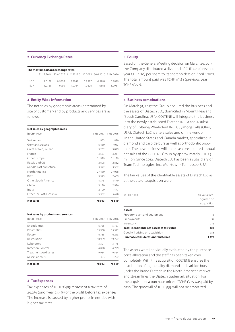#### **2 Currency Exchange Rates**

|       | The most important exchange rates                             |        |        |        |        |        |
|-------|---------------------------------------------------------------|--------|--------|--------|--------|--------|
|       | 31.12.2016 30.6.2017 1 HY 2017 31.12.2015 30.6.2016 1 HY 2016 |        |        |        |        |        |
| 1 USD | 10188                                                         | 09578  | 0.9947 | 09927  | 09784  | 09819  |
| 1 FUR | 10739                                                         | 1 0930 | 1.0764 | 1.0826 | 1 0865 | 1 0961 |

#### **3 Entity-Wide Information**

The net sales by geographic areas (determined by site of customer) and by products and services are as follows:

| Net sales by geographic areas |         |                     |
|-------------------------------|---------|---------------------|
| In CHF 1000                   |         | 1 HY 2017 1 HY 2016 |
| Switzerland                   | 953     | 890                 |
| Germany, Austria              | 6430    | 7013                |
| Great Britain, Ireland        | 3 2 0 2 | 3079                |
| France                        | 3537    | 3 2 1 4             |
| Other Europe                  | 11929   | 11199               |
| Russia and CIS                | 2698    | 2832                |
| Middle Fast and Africa        | 3372    | 3502                |
| North America                 | 27460   | 27068               |
| <b>Brazil</b>                 | 3375    | 2459                |
| Other South America           | 4375    | 4470                |
| China                         | 3 1 9 0 | 2976                |
| India                         | 2190    | 1477                |
| Other Far East, Oceania       | 5 3 0 2 | 5420                |
| <b>Net sales</b>              | 78013   | 75599               |

| Net sales by products and services |         |                     |  |  |  |
|------------------------------------|---------|---------------------|--|--|--|
| In CHF 1000                        |         | 1 HY 2017 1 HY 2016 |  |  |  |
| <b>Endodontics</b>                 | 16755   | 15767               |  |  |  |
| Prosthetics                        | 15968   | 15572               |  |  |  |
| Rotary                             | 6765    | 6218                |  |  |  |
| Restoration                        | 18989   | 19222               |  |  |  |
| Laboratory                         | 3 3 0 1 | 3175                |  |  |  |
| Infection Control                  | 4898    | 4799                |  |  |  |
| <b>Treatment Auxiliaries</b>       | 9984    | 9554                |  |  |  |
| Miscellaneous                      | 1353    | 1 2 9 2             |  |  |  |
| <b>Net sales</b>                   | 78013   | 75599               |  |  |  |

#### **4 Tax Expenses**

Tax expenses of TCHF 2'485 represent a tax rate of 29.2% (prior year 21.4%) of the profit before tax expenses. The increase is caused by higher profits in entities with higher tax rates.

#### **5 Equity**

Based on the General Meeting decision on March 29, 2017 the Company distributed a dividend of CHF 2.70 (previous year CHF 2.20) per share to its shareholders on April 4 2017. The total amount paid was TCHF 11'381 (previous year TCHF 9'277).

#### **6 Business combinations**

On March 31, 2017 the Group acquired the business and the assets of Diatech LLC, domiciled in Mount Pleasant (South Carolina, USA). COLTENE will integrate the business into the newly established Diatech INC, a 100% subsidiary of Coltene/Whaledent INC, Cuyahoga Falls (Ohio, USA). Diatech LLC is a tele sales and online vendor in the United States and Canada market, specialized in diamond and carbide burs as well as orthodontic products. The new business will increase consolidated annual net sales of the COLTENE Group by approximately CHF 1.5 million. Since 2012, Diatech LLC has been a subsidiary of Team Technologies, Inc., Morrtown (Tennessee, USA).

The fair values of the identifiable assets of Diatech LLC as at the date of acquisition were:

| In CHE 1000                                 | Fair value rec-<br>ognized on<br>acquisition |
|---------------------------------------------|----------------------------------------------|
| <b>Assets</b>                               |                                              |
| Property, plant and equipment               | 15                                           |
| Prepayments                                 | 32                                           |
| Inventory                                   | 275                                          |
| Total identifiable net assets at fair value | 322                                          |
| Goodwill arising on acquisition             | 953                                          |
| <b>Purchase consideration transferred</b>   | 1 2 7 5                                      |

The assets were individually evaluated by the purchase price allocation and the staff has been taken over completely. With this acquisition COLTENE ensures the distribution of high quality diamond and carbide burs under the brand Diatech in the North American market and streamlines the Diatech trademark situation. For the acquisition, a purchase price of TCHF 1'275 was paid by cash. The goodwill of TCHF 953 will not be amortized.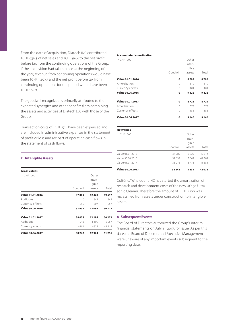From the date of acquisition, Diatech INC contributed TCHF 636.3 of net sales and TCHF 96.4 to the net profit before tax from the continuing operations of the Group. If the acquisition had taken place at the beginning of the year, revenue from continuing operations would have been TCHF 1'259.7 and the net profit before tax from continuing operations for the period would have been TCHF 164.2.

The goodwill recognized is primarily attributed to the expected synergies and other benefits from combining the assets and activities of Diatech LLC with those of the Group.

 Transaction costs of TCHF 17.1, have been expensed and are included in administrative expenses in the statement of profit or loss and are part of operating cash flows in the statement of cash flows.

#### **7 Intangible Assets**

| $-784$   | $-329$                    | $-1113$ |
|----------|---------------------------|---------|
|          |                           |         |
| 948      | 1 1 0 9                   | 2057    |
| 38078    | 12194                     | 50272   |
| 37 639   | 13084                     | 50723   |
| 550      | 307                       | 857     |
| $\Omega$ | 349                       | 349     |
| 37089    | 12428                     | 49517   |
| Goodwill | intan-<br>gible<br>assets | Total   |
|          |                           |         |
|          |                           | Other   |

#### **Accumulated amortization**

| <b>Value 30.06.2017</b>          | 38 24 2       | 3834            | 42076       |
|----------------------------------|---------------|-----------------|-------------|
| Value 01.01.2017                 | 38 078        | 3 4 7 3         | 41 551      |
| Value 30.06.2016                 | 37639         | 3 6 6 2         | 41 301      |
| Value 01.01.2016                 | 37 089        | 3725            | 40 814      |
|                                  | Goodwill      | gible<br>assets | Total       |
| <b>Net values</b><br>In CHF 1000 |               | Other<br>intan- |             |
| <b>Value 30.06.2017</b>          | $\mathbf 0$   | 9140            | 9140        |
| Currency effects                 | $\Omega$      | $-156$          | $-156$      |
| Amortization                     | $\Omega$      | 575             | 575         |
| Value 01.01.2017                 | 0             | 8721            | 8721        |
| Value 30.06.2016                 | 0             | 9422            | 9422        |
| Currency effects                 | $\Omega$      | 101             | 101         |
| Amortization                     | 0<br>$\Omega$ | 8702<br>619     | 8702<br>619 |
| Value 01.01.2016                 |               |                 |             |
|                                  | Goodwill      | gible<br>assets | Total       |
|                                  |               | intan-          |             |
| In CHF 1000                      |               | Other           |             |

Coltène/ Whaledent INC has started the amortization of research and development costs of the new UC150 Ultrasonic Cleaner. Therefore the amount of TCHF 1'100 was reclassified from assets under construction to intangible assets.

#### **8 Subsequent Events**

The Board of Directors authorized the Group's interim financial statements on July 31, 2017, for issue. As per this date, the Board of Directors and Executive Management were unaware of any important events subsequent to the reporting date.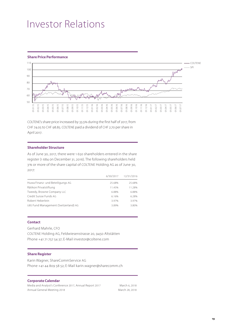### Investor Relations

#### **Share Price Performance**



COLTENE's share price increased by 33.5% during the first half of 2017, from CHF 74.05 to CHF 98.85. COLTENE paid a dividend of CHF 2.70 per share in April 2017.

#### **Shareholder Structure**

As of June 30, 2017, there were 1 650 shareholders entered in the share register (1 684 on December 31, 2016). The following shareholders held 3% or more of the share capital of COLTENE Holding AG as of June 30, 2017:

|                                      |        | 6/30/2017 12/31/2016 |
|--------------------------------------|--------|----------------------|
| Huwa Finanz- und Beteiligungs AG     | 25.68% | 25.68%               |
| Rätikon Privatstiftung               | 11.45% | 11.28%               |
| Tweedy, Browne Company LLC           | 6.88%  | 6.88%                |
| Credit Suisse Funds AG               | 6.16%  | 6.28%                |
| Robert Heberlein                     | 3.97%  | 3.97%                |
| UBS Fund Management (Switzerland) AG | 3.89%  | 3.80%                |

#### **Contact**

Gerhard Mahrle, CFO COLTENE Holding AG, Feldwiesenstrasse 20, 9450 Altstätten Phone +41 71 757 54 37; E-Mail investor@coltene.com

#### **Share Register**

Karin Wagner, ShareCommService AG Phone +41 44 809 58 52; E-Mail karin.wagner@sharecomm.ch

#### **Corporate Calendar**

Media and Analyst's Conference 2017, Annual Report 2017 March 6, 2018 Annual General Meeting 2018 March 28, 2018